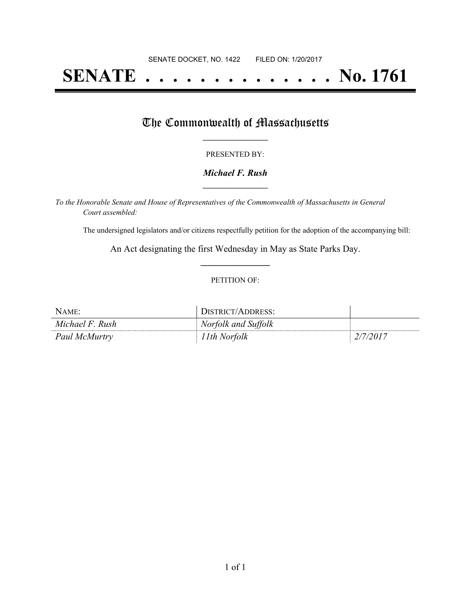# **SENATE . . . . . . . . . . . . . . No. 1761**

## The Commonwealth of Massachusetts

#### PRESENTED BY:

#### *Michael F. Rush* **\_\_\_\_\_\_\_\_\_\_\_\_\_\_\_\_\_**

*To the Honorable Senate and House of Representatives of the Commonwealth of Massachusetts in General Court assembled:*

The undersigned legislators and/or citizens respectfully petition for the adoption of the accompanying bill:

An Act designating the first Wednesday in May as State Parks Day. **\_\_\_\_\_\_\_\_\_\_\_\_\_\_\_**

#### PETITION OF:

| NAME:           | DISTRICT/ADDRESS:   |          |
|-----------------|---------------------|----------|
| Michael F. Rush | Norfolk and Suffolk |          |
| Paul McMurtry   | 11th Norfolk        | 2/7/2017 |